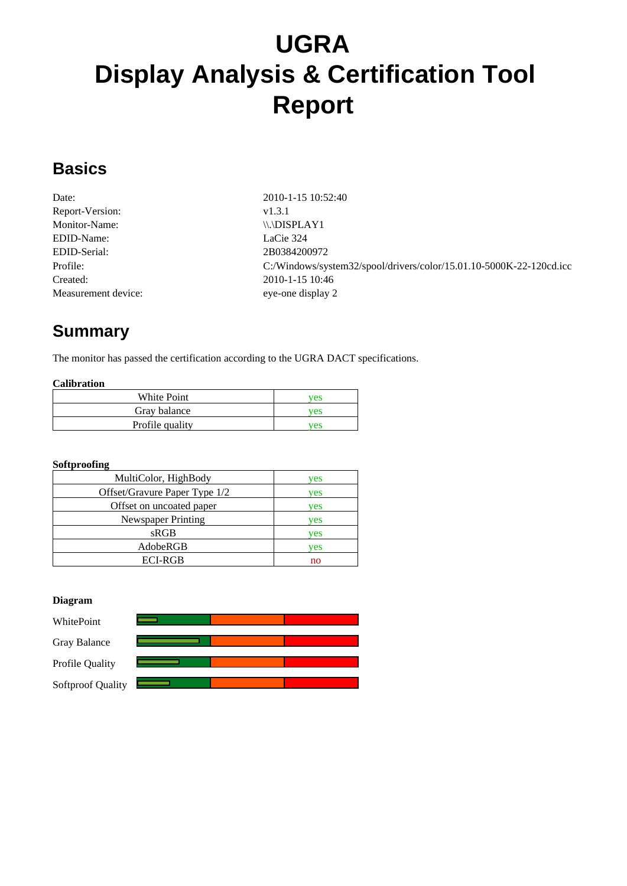# **UGRA Display Analysis & Certification Tool Report**

#### **Basics**

| Date:               |
|---------------------|
| Report-Version:     |
| Monitor-Name:       |
| EDID-Name:          |
| EDID-Serial:        |
| Profile:            |
| Created:            |
| Measurement device: |

Date: 2010-1-15 10:52:40 v1.3.1  $\langle \langle \cdot, \cdot \rangle$ . LaCie 324 EDID-Serial: 2B0384200972 C:/Windows/system32/spool/drivers/color/15.01.10-5000K-22-120cd.icc Created: 2010-1-15 10:46 eye-one display 2

## **Summary**

The monitor has passed the certification according to the UGRA DACT specifications.

#### **Calibration**

| White Point     | ves |
|-----------------|-----|
| Gray balance    | ves |
| Profile quality | ves |

#### **Softproofing**

| MultiColor, HighBody          | ves |
|-------------------------------|-----|
| Offset/Gravure Paper Type 1/2 | ves |
| Offset on uncoated paper      | ves |
| Newspaper Printing            | ves |
| sRGB                          | ves |
| AdobeRGB                      | ves |
| <b>ECI-RGB</b>                | no  |

#### **Diagram**

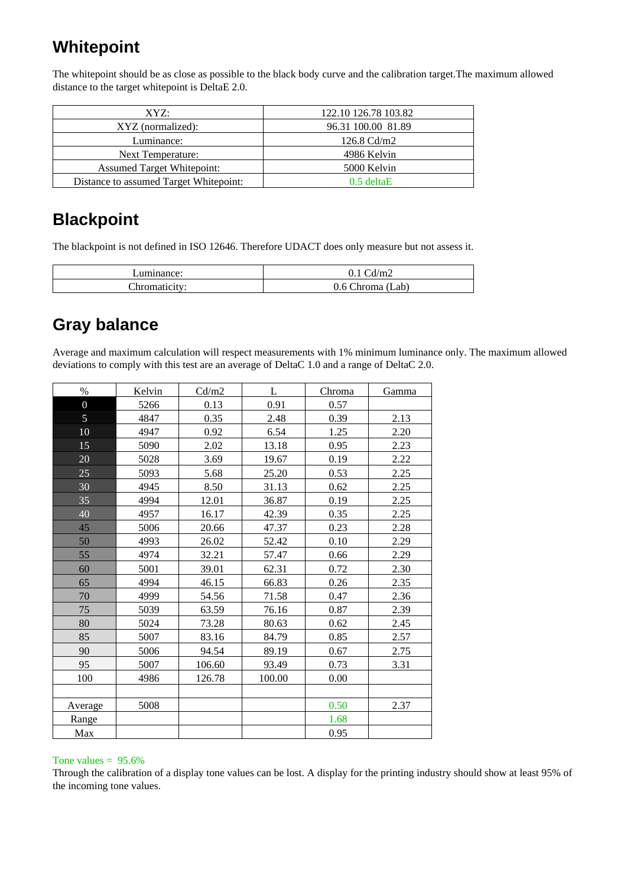### **Whitepoint**

The whitepoint should be as close as possible to the black body curve and the calibration target.The maximum allowed distance to the target whitepoint is DeltaE 2.0.

| XYZ:                                   | 122.10 126.78 103.82 |
|----------------------------------------|----------------------|
| XYZ (normalized):                      | 96.31 100.00 81.89   |
| Luminance:                             | 126.8 $Cd/m2$        |
| Next Temperature:                      | 4986 Kelvin          |
| <b>Assumed Target Whitepoint:</b>      | 5000 Kelvin          |
| Distance to assumed Target Whitepoint: | $0.5$ deltaE         |

### **Blackpoint**

The blackpoint is not defined in ISO 12646. Therefore UDACT does only measure but not assess it.

| uminance: | $\sim$<br>$\mathbf{m}_2$   |
|-----------|----------------------------|
| Throma    | $\sim$<br>6<br>ິດ <b>I</b> |

### **Gray balance**

Average and maximum calculation will respect measurements with 1% minimum luminance only. The maximum allowed deviations to comply with this test are an average of DeltaC 1.0 and a range of DeltaC 2.0.

| $\%$           | Kelvin | Cd/m2  | L      | Chroma | Gamma |
|----------------|--------|--------|--------|--------|-------|
| $\overline{0}$ | 5266   | 0.13   | 0.91   | 0.57   |       |
| $\overline{5}$ | 4847   | 0.35   | 2.48   | 0.39   | 2.13  |
| 10             | 4947   | 0.92   | 6.54   | 1.25   | 2.20  |
| 15             | 5090   | 2.02   | 13.18  | 0.95   | 2.23  |
| 20             | 5028   | 3.69   | 19.67  | 0.19   | 2.22  |
| 25             | 5093   | 5.68   | 25.20  | 0.53   | 2.25  |
| 30             | 4945   | 8.50   | 31.13  | 0.62   | 2.25  |
| 35             | 4994   | 12.01  | 36.87  | 0.19   | 2.25  |
| 40             | 4957   | 16.17  | 42.39  | 0.35   | 2.25  |
| 45             | 5006   | 20.66  | 47.37  | 0.23   | 2.28  |
| 50             | 4993   | 26.02  | 52.42  | 0.10   | 2.29  |
| 55             | 4974   | 32.21  | 57.47  | 0.66   | 2.29  |
| 60             | 5001   | 39.01  | 62.31  | 0.72   | 2.30  |
| 65             | 4994   | 46.15  | 66.83  | 0.26   | 2.35  |
| 70             | 4999   | 54.56  | 71.58  | 0.47   | 2.36  |
| 75             | 5039   | 63.59  | 76.16  | 0.87   | 2.39  |
| 80             | 5024   | 73.28  | 80.63  | 0.62   | 2.45  |
| 85             | 5007   | 83.16  | 84.79  | 0.85   | 2.57  |
| 90             | 5006   | 94.54  | 89.19  | 0.67   | 2.75  |
| 95             | 5007   | 106.60 | 93.49  | 0.73   | 3.31  |
| 100            | 4986   | 126.78 | 100.00 | 0.00   |       |
|                |        |        |        |        |       |
| Average        | 5008   |        |        | 0.50   | 2.37  |
| Range          |        |        |        | 1.68   |       |
| Max            |        |        |        | 0.95   |       |

#### Tone values  $= 95.6\%$

Through the calibration of a display tone values can be lost. A display for the printing industry should show at least 95% of the incoming tone values.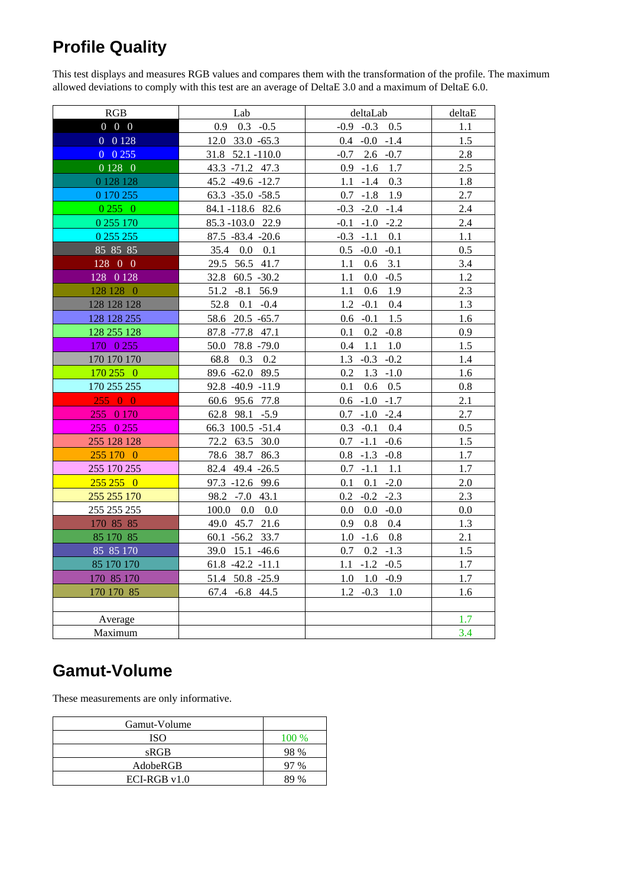# **Profile Quality**

This test displays and measures RGB values and compares them with the transformation of the profile. The maximum allowed deviations to comply with this test are an average of DeltaE 3.0 and a maximum of DeltaE 6.0.

| RGB                               | Lab                         | deltaLab               | deltaE  |
|-----------------------------------|-----------------------------|------------------------|---------|
| $0\quad 0\quad 0$                 | $0.9$ $0.3$ $-0.5$          | $-0.9$ $-0.3$ $0.5$    | 1.1     |
| 0 0128                            | 12.0 33.0 -65.3             | $0.4 -0.0 -1.4$        | 1.5     |
| $0\ 0\ 255$                       | 31.8 52.1 -110.0            | $2.6 -0.7$<br>$-0.7$   | 2.8     |
| $\overline{0}$ 128 $\overline{0}$ | 43.3 -71.2 47.3             | $0.9 - 1.6$ 1.7        | 2.5     |
| 0 128 128                         | 45.2 -49.6 -12.7            | 0.3<br>1.1<br>$-1.4$   | 1.8     |
| 0 170 255                         | $63.3 -35.0 -58.5$          | $0.7 - 1.8$ 1.9        | 2.7     |
| 02550                             | 84.1-118.6 82.6             | $-0.3 -2.0 -1.4$       | 2.4     |
| 0 255 170                         | 85.3-103.0 22.9             | $-0.1 -1.0 -2.2$       | 2.4     |
| 0 255 255                         | $87.5 - 83.4 - 20.6$        | $-0.3 -1.1$<br>0.1     | 1.1     |
| 85 85 85                          | 35.4 0.0 0.1                | $0.5 - 0.0 - 0.1$      | 0.5     |
| 128 0 0                           | 29.5 56.5 41.7              | 3.1<br>1.1<br>0.6      | 3.4     |
| $128$ 0 1 $28$                    | 32.8 60.5 -30.2             | $0.0 - 0.5$<br>1.1     | 1.2     |
| 128 128 0                         | 51.2 -8.1 56.9              | $0.6$ 1.9<br>1.1       | 2.3     |
| 128 128 128                       | 52.8 0.1 -0.4               | 1.2<br>$-0.1$<br>0.4   | 1.3     |
| 128 128 255                       | 58.6 20.5 -65.7             | 1.5<br>$0.6 - 0.1$     | 1.6     |
| 128 255 128                       | 87.8 - 77.8 47.1            | 0.1<br>$0.2 -0.8$      | 0.9     |
| 170 0 255                         | 50.0 78.8 -79.0             | 0.4<br>1.1<br>1.0      | 1.5     |
| 170 170 170                       | 68.8 0.3 0.2                | $1.3 -0.3 -0.2$        | 1.4     |
| 170 255 0                         | 89.6 -62.0 89.5             | $0.2\,$<br>$1.3 - 1.0$ | 1.6     |
| 170 255 255                       | 92.8 -40.9 -11.9            | 0.1<br>$0.6$ 0.5       | 0.8     |
| 25500                             | 60.6 95.6 77.8              | $0.6 - 1.0 - 1.7$      | 2.1     |
| 255 0 170                         | 62.8 98.1 -5.9              | $0.7 - 1.0 - 2.4$      | 2.7     |
| 255 0 255                         | 66.3 100.5 -51.4            | $0.3 - 0.1$ 0.4        | 0.5     |
| 255 128 128                       | 72.2 63.5 30.0              | $0.7 - 1.1 - 0.6$      | 1.5     |
| 255 170 0                         | 78.6 38.7 86.3              | $0.8 - 1.3 - 0.8$      | 1.7     |
| 255 170 255                       | 82.4 49.4 -26.5             | $0.7 - 1.1 - 1.1$      | 1.7     |
| $255\,255\,0$                     | 97.3 -12.6 99.6             | $-2.0$<br>0.1<br>0.1   | 2.0     |
| 255 255 170                       | 98.2 - 7.0 43.1             | $-0.2 -2.3$<br>0.2     | 2.3     |
| 255 255 255                       | $100.0 \quad 0.0 \quad 0.0$ | $0.0 - 0.0$<br>0.0     | $0.0\,$ |
| 170 85 85                         | 49.0 45.7 21.6              | 0.9<br>$0.8\quad 0.4$  | 1.3     |
| 85 170 85                         | 60.1 -56.2 33.7             | $1.0 - 1.6$<br>0.8     | 2.1     |
| 85 85 170                         | 39.0 15.1 -46.6             | 0.7<br>$0.2 - 1.3$     | 1.5     |
| 85 170 170                        | $61.8 -42.2 -11.1$          | $1.1 - 1.2 - 0.5$      | 1.7     |
| 170 85 170                        | 51.4 50.8 -25.9             | 1.0<br>$1.0 -0.9$      | 1.7     |
| 170 170 85                        | 67.4 -6.8 44.5              | $1.2 -0.3$<br>1.0      | 1.6     |
|                                   |                             |                        |         |
| Average                           |                             |                        | 1.7     |
| Maximum                           |                             |                        | 3.4     |

#### **Gamut-Volume**

These measurements are only informative.

| Gamut-Volume  |               |
|---------------|---------------|
| ISO           | 100 %         |
| sRGB          | 98 %          |
| AdobeRGB      | $\frac{0}{6}$ |
| $ECI-RGBv1.0$ |               |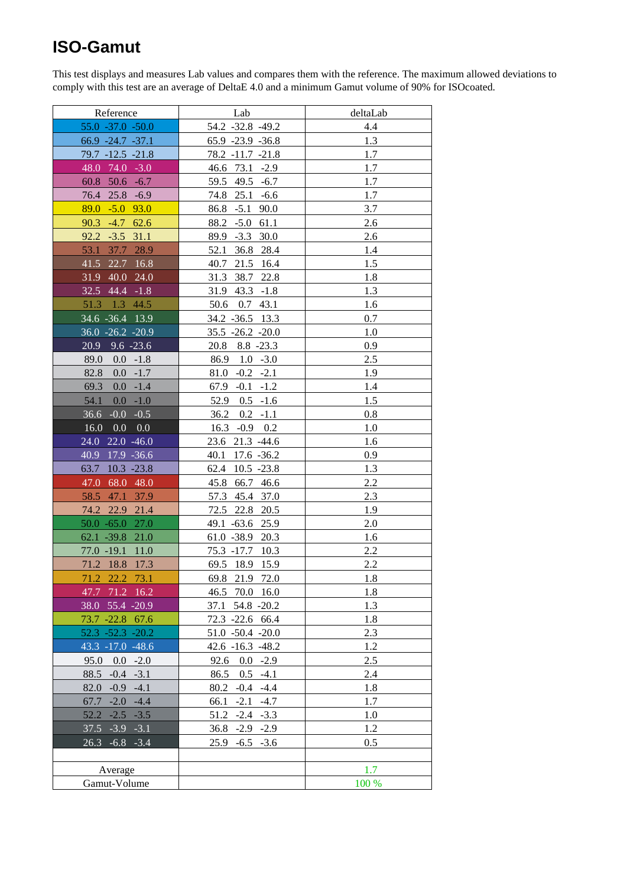### **ISO-Gamut**

This test displays and measures Lab values and compares them with the reference. The maximum allowed deviations to comply with this test are an average of DeltaE 4.0 and a minimum Gamut volume of 90% for ISOcoated.

| Reference                    | Lab                    | deltaLab |
|------------------------------|------------------------|----------|
| 55.0 -37.0 -50.0             | 54.2 -32.8 -49.2       | 4.4      |
| $66.9 -24.7 -37.1$           | $65.9 -23.9 -36.8$     | 1.3      |
| $79.7 - 12.5 - 21.8$         | 78.2 -11.7 -21.8       | 1.7      |
| 48.0<br>$74.0 - 3.0$         | 46.6 73.1 -2.9         | 1.7      |
| $60.8$ 50.6 $-6.7$           | 59.5 49.5 -6.7         | 1.7      |
| 76.4 25.8 -6.9               | 74.8 25.1 -6.6         | 1.7      |
| 89.0<br>$-5.0$ 93.0          | 86.8 -5.1 90.0         | 3.7      |
| 90.3<br>$-4.7$ 62.6          | $-5.0$ 61.1<br>88.2    | 2.6      |
| 31.1<br>92.2<br>$-3.5$       | 89.9<br>$-3.3$<br>30.0 | 2.6      |
| 53.1<br>37.7<br>28.9         | 52.1 36.8 28.4         | 1.4      |
| 41.5<br>22.7<br>16.8         | 40.7<br>21.5 16.4      | 1.5      |
| 31.9 40.0 24.0               | 31.3 38.7 22.8         | 1.8      |
| 32.5 44.4 -1.8               | 31.9 43.3 -1.8         | 1.3      |
| 51.3 1.3 44.5                | 50.6 0.7 43.1          | 1.6      |
| 34.6 - 36.4 13.9             | 34.2 - 36.5 13.3       | 0.7      |
| 36.0 -26.2 -20.9             | 35.5 -26.2 -20.0       | 1.0      |
| 20.9<br>$9.6 - 23.6$         | 20.8 8.8 -23.3         | 0.9      |
| 89.0<br>$0.0 - 1.8$          | $86.9$ 1.0 $-3.0$      | 2.5      |
| 82.8<br>0.0<br>$-1.7$        | $-0.2 -2.1$<br>81.0    | 1.9      |
| 69.3<br>0.0<br>$-1.4$        | $-0.1 - 1.2$<br>67.9   | 1.4      |
| 54.1<br>0.0<br>$-1.0$        | 52.9<br>$0.5 - 1.6$    | 1.5      |
| 36.6<br>$-0.0$<br>$-0.5$     | 36.2<br>$0.2 -1.1$     | 0.8      |
| 0.0<br>16.0<br>0.0           | $16.3 -0.9 0.2$        | 1.0      |
| 24.0 22.0 -46.0              | 23.6 21.3 -44.6        | 1.6      |
| $17.9 - 36.6$<br>40.9        | 40.1 17.6 -36.2        | 0.9      |
| $10.3 - 23.8$<br>63.7        | 62.4 10.5 -23.8        | 1.3      |
| 68.0 48.0<br>47.0            | 45.8 66.7 46.6         | 2.2      |
| 58.5<br>47.1<br>37.9         | 57.3 45.4 37.0         | 2.3      |
| 74.2 22.9 21.4               | 72.5 22.8 20.5         | 1.9      |
| $50.0 - 65.0$<br><b>27.0</b> | 49.1 -63.6<br>25.9     | 2.0      |
| $62.1 - 39.8$<br>21.0        | 61.0 -38.9 20.3        | 1.6      |
| 77.0 -19.1<br>11.0           | 75.3 -17.7 10.3        | 2.2      |
| 71.2 18.8<br>17.3            | 69.5 18.9<br>15.9      | 2.2      |
| 71.2 22.2 73.1               | 69.8 21.9 72.0         | 1.8      |
| 47.7 71.2 16.2               | 46.5 70.0 16.0         | 1.8      |
| 38.0 55.4 -20.9              | 37.1<br>54.8 -20.2     | 1.3      |
| 73.7 -22.8 67.6              | 72.3 -22.6 66.4        | 1.8      |
| $52.3 - 52.3 - 20.2$         | 51.0 -50.4 -20.0       | 2.3      |
| 43.3 -17.0 -48.6             | $42.6 - 16.3 - 48.2$   | 1.2      |
| 95.0<br>0.0<br>$-2.0$        | $0.0 -2.9$<br>92.6     | 2.5      |
| $88.5 - 0.4 - 3.1$           | $0.5 -4.1$<br>86.5     | 2.4      |
| $82.0 -0.9 -4.1$             | $80.2 -0.4 -4.4$       | 1.8      |
| $67.7 - 2.0$<br>$-4.4$       | $-2.1 -4.7$<br>66.1    | 1.7      |
| $52.2 -2.5 -3.5$             | 51.2<br>$-2.4 -3.3$    | 1.0      |
| $37.5 - 3.9 - 3.1$           | $36.8 - 2.9 - 2.9$     | 1.2      |
| $26.3 - 6.8 - 3.4$           | 25.9<br>$-6.5 -3.6$    | 0.5      |
|                              |                        |          |
|                              |                        | 1.7      |
| Average                      |                        | 100 %    |
| Gamut-Volume                 |                        |          |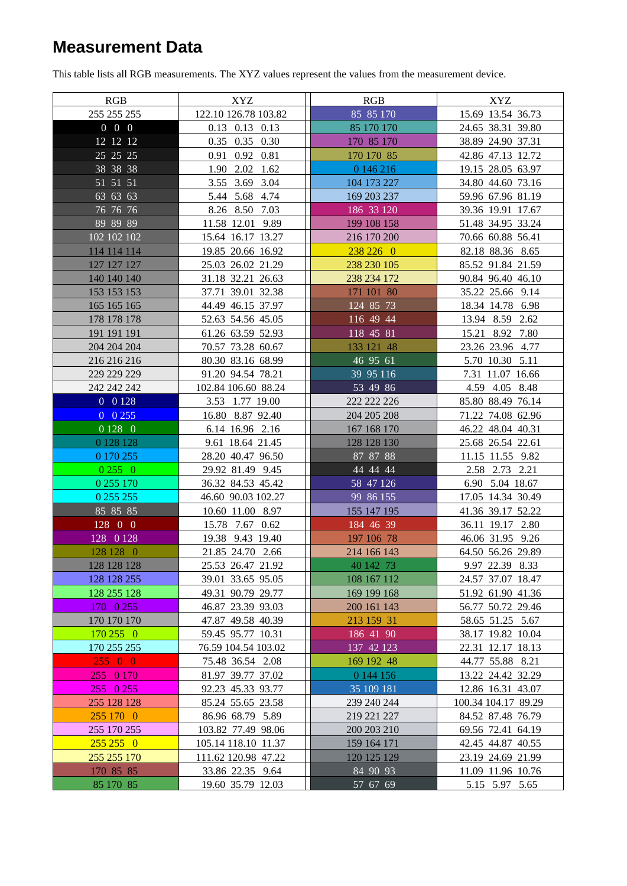### **Measurement Data**

This table lists all RGB measurements. The XYZ values represent the values from the measurement device.

| <b>RGB</b>        | XYZ                  | <b>RGB</b>  | <b>XYZ</b>          |
|-------------------|----------------------|-------------|---------------------|
| 255 255 255       | 122.10 126.78 103.82 | 85 85 170   | 15.69 13.54 36.73   |
| $0\quad 0\quad 0$ | 0.13 0.13 0.13       | 85 170 170  | 24.65 38.31 39.80   |
| 12 12 12          | 0.35 0.35 0.30       | 170 85 170  | 38.89 24.90 37.31   |
| 25 25 25          | 0.91 0.92 0.81       | 170 170 85  | 42.86 47.13 12.72   |
| 38 38 38          | 1.90 2.02 1.62       | 0 146 216   | 19.15 28.05 63.97   |
| 51 51 51          | 3.55 3.69 3.04       | 104 173 227 | 34.80 44.60 73.16   |
| 63 63 63          | 5.44 5.68 4.74       | 169 203 237 | 59.96 67.96 81.19   |
| 76 76 76          | 8.26 8.50 7.03       | 186 33 120  | 39.36 19.91 17.67   |
| 89 89 89          | 11.58 12.01 9.89     | 199 108 158 | 51.48 34.95 33.24   |
| 102 102 102       | 15.64 16.17 13.27    | 216 170 200 | 70.66 60.88 56.41   |
| 114 114 114       | 19.85 20.66 16.92    | 238 226 0   | 82.18 88.36 8.65    |
| 127 127 127       | 25.03 26.02 21.29    | 238 230 105 | 85.52 91.84 21.59   |
| 140 140 140       | 31.18 32.21 26.63    | 238 234 172 | 90.84 96.40 46.10   |
| 153 153 153       | 37.71 39.01 32.38    | 171 101 80  | 35.22 25.66 9.14    |
| 165 165 165       | 44.49 46.15 37.97    | 124 85 73   | 18.34 14.78 6.98    |
| 178 178 178       | 52.63 54.56 45.05    | 116 49 44   | 13.94 8.59 2.62     |
| 191 191 191       | 61.26 63.59 52.93    | 118 45 81   | 15.21 8.92 7.80     |
| 204 204 204       | 70.57 73.28 60.67    | 133 121 48  | 23.26 23.96 4.77    |
| 216 216 216       | 80.30 83.16 68.99    | 46 95 61    | 5.70 10.30 5.11     |
| 229 229 229       | 91.20 94.54 78.21    | 39 95 116   | 7.31 11.07 16.66    |
| 242 242 242       | 102.84 106.60 88.24  | 53 49 86    | 4.59 4.05 8.48      |
| 0 0 1 28          | 3.53 1.77 19.00      | 222 222 226 | 85.80 88.49 76.14   |
| $0\;\; 0\; 255$   | 16.80 8.87 92.40     | 204 205 208 | 71.22 74.08 62.96   |
| 0 1 2 8 0         | 6.14 16.96 2.16      | 167 168 170 | 46.22 48.04 40.31   |
| 0 1 28 1 28       | 9.61 18.64 21.45     | 128 128 130 | 25.68 26.54 22.61   |
| 0 170 255         | 28.20 40.47 96.50    | 87 87 88    | 11.15 11.55 9.82    |
| 02550             | 29.92 81.49 9.45     | 44 44 44    | 2.58 2.73 2.21      |
| 0 255 170         | 36.32 84.53 45.42    | $58$ 47 126 | 6.90 5.04 18.67     |
| 0 255 255         | 46.60 90.03 102.27   | 99 86 155   | 17.05 14.34 30.49   |
| 85 85 85          | 10.60 11.00 8.97     | 155 147 195 | 41.36 39.17 52.22   |
| 128 0 0           | 15.78 7.67 0.62      | 184 46 39   | 36.11 19.17 2.80    |
| 128 0 128         | 19.38 9.43 19.40     | 197 106 78  | 46.06 31.95 9.26    |
| 128 128 0         | 21.85 24.70 2.66     | 214 166 143 | 64.50 56.26 29.89   |
| 128 128 128       | 25.53 26.47 21.92    | 40 142 73   | 9.97 22.39 8.33     |
| 128 128 255       | 39.01 33.65 95.05    | 108 167 112 | 24.57 37.07 18.47   |
| 128 255 128       | 49.31 90.79 29.77    | 169 199 168 | 51.92 61.90 41.36   |
| 170 0 255         | 46.87 23.39 93.03    | 200 161 143 | 56.77 50.72 29.46   |
| 170 170 170       | 47.87 49.58 40.39    | 213 159 31  | 58.65 51.25 5.67    |
| 170 255 0         | 59.45 95.77 10.31    | 186 41 90   | 38.17 19.82 10.04   |
| 170 255 255       | 76.59 104.54 103.02  | 137 42 123  | 22.31 12.17 18.13   |
| 25500             | 75.48 36.54 2.08     | 169 192 48  | 44.77 55.88 8.21    |
| 255 0 170         | 81.97 39.77 37.02    | 0 144 156   | 13.22 24.42 32.29   |
| 255 0 255         | 92.23 45.33 93.77    | 35 109 181  | 12.86 16.31 43.07   |
| 255 128 128       | 85.24 55.65 23.58    | 239 240 244 | 100.34 104.17 89.29 |
| 255 170 0         | 86.96 68.79 5.89     | 219 221 227 | 84.52 87.48 76.79   |
| 255 170 255       | 103.82 77.49 98.06   | 200 203 210 | 69.56 72.41 64.19   |
| $255\,255\,0$     | 105.14 118.10 11.37  | 159 164 171 | 42.45 44.87 40.55   |
| 255 255 170       | 111.62 120.98 47.22  | 120 125 129 | 23.19 24.69 21.99   |
| 170 85 85         | 33.86 22.35 9.64     | 84 90 93    | 11.09 11.96 10.76   |
| 85 170 85         | 19.60 35.79 12.03    | 57 67 69    | 5.15 5.97 5.65      |